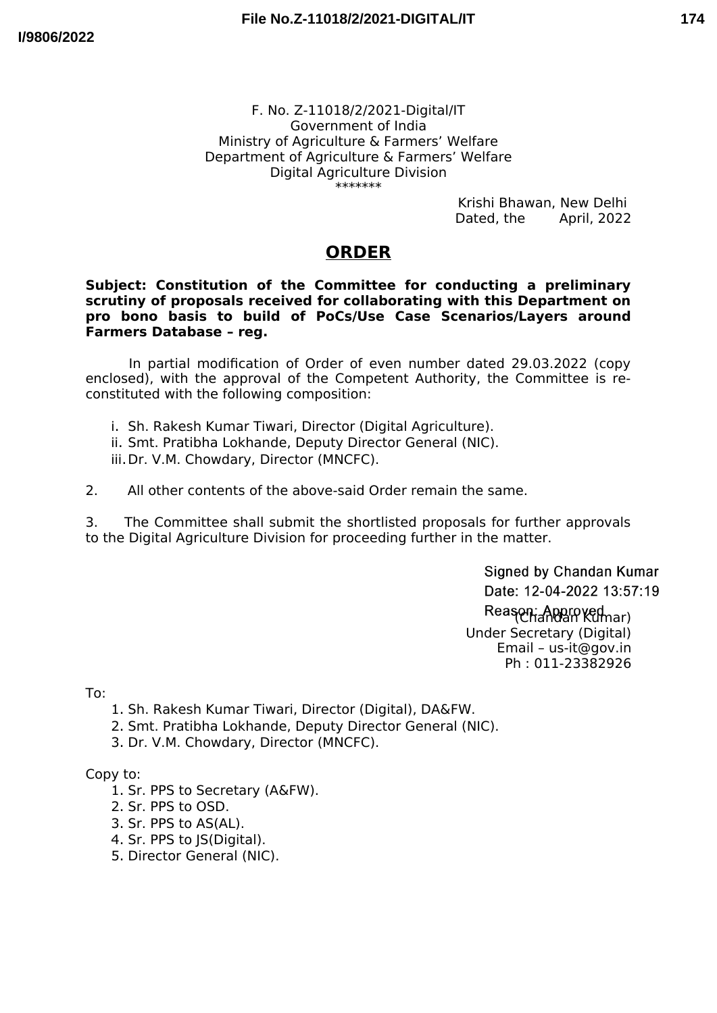## **174**

#### F. No. Z-11018/2/2021-Digital/IT Government of India Ministry of Agriculture & Farmers' Welfare Department of Agriculture & Farmers' Welfare Digital Agriculture Division \*\*\*\*\*\*\*

Krishi Bhawan, New Delhi<br>Dated, the April, 2022 Dated, the

# **ORDER**

### **Subject: Constitution of the Committee for conducting a preliminary scrutiny of proposals received for collaborating with this Department on pro bono basis to build of PoCs/Use Case Scenarios/Layers around Farmers Database – reg.**

In partial modification of Order of even number dated 29.03.2022 (copy enclosed), with the approval of the Competent Authority, the Committee is reconstituted with the following composition:

- i. Sh. Rakesh Kumar Tiwari, Director (Digital Agriculture).
- ii. Smt. Pratibha Lokhande, Deputy Director General (NIC).
- iii.Dr. V.M. Chowdary, Director (MNCFC).

2. All other contents of the above-said Order remain the same.

3. The Committee shall submit the shortlisted proposals for further approvals to the Digital Agriculture Division for proceeding further in the matter.

> Signed by Chandan Kumar Date: 12-04-2022 13:57:19

Reason: Approved<br>
Chandan Kumar) Under Secretary (Digital) Email – us-it@gov.in Ph : 011-23382926

To:

- 1. Sh. Rakesh Kumar Tiwari, Director (Digital), DA&FW.
- 2. Smt. Pratibha Lokhande, Deputy Director General (NIC).
- 3. Dr. V.M. Chowdary, Director (MNCFC).

Copy to:

- 1. Sr. PPS to Secretary (A&FW).
- 2. Sr. PPS to OSD.
- 3. Sr. PPS to AS(AL).
- 4. Sr. PPS to JS(Digital).
- 5. Director General (NIC).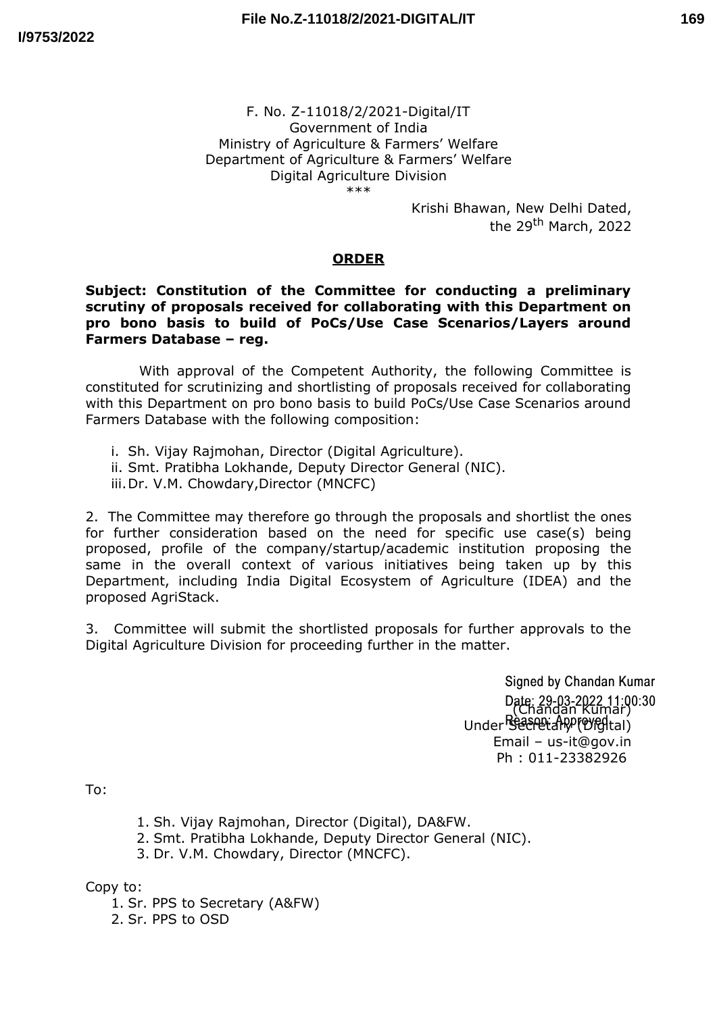## **169**

#### F. No. Z-11018/2/2021-Digital/IT Government of India Ministry of Agriculture & Farmers' Welfare Department of Agriculture & Farmers' Welfare Digital Agriculture Division \*\*\*

Krishi Bhawan, New Delhi Dated, the 29<sup>th</sup> March, 2022

### **ORDER**

### **Subject: Constitution of the Committee for conducting a preliminary scrutiny of proposals received for collaborating with this Department on pro bono basis to build of PoCs/Use Case Scenarios/Layers around Farmers Database – reg.**

With approval of the Competent Authority, the following Committee is constituted for scrutinizing and shortlisting of proposals received for collaborating with this Department on pro bono basis to build PoCs/Use Case Scenarios around Farmers Database with the following composition:

i. Sh. Vijay Rajmohan, Director (Digital Agriculture).

ii. Smt. Pratibha Lokhande, Deputy Director General (NIC).

iii.Dr. V.M. Chowdary,Director (MNCFC)

2. The Committee may therefore go through the proposals and shortlist the ones for further consideration based on the need for specific use case(s) being proposed, profile of the company/startup/academic institution proposing the same in the overall context of various initiatives being taken up by this Department, including India Digital Ecosystem of Agriculture (IDEA) and the proposed AgriStack.

3. Committee will submit the shortlisted proposals for further approvals to the Digital Agriculture Division for proceeding further in the matter.

> Signed by Chandan Kumar Date: 29-03-2022 11:00:30 Under Secretary (Orgital) Email – us-it@gov.in Ph : 011-23382926

To:

1. Sh. Vijay Rajmohan, Director (Digital), DA&FW.

2. Smt. Pratibha Lokhande, Deputy Director General (NIC).

3. Dr. V.M. Chowdary, Director (MNCFC).

Copy to:

1. Sr. PPS to Secretary (A&FW)

2. Sr. PPS to OSD